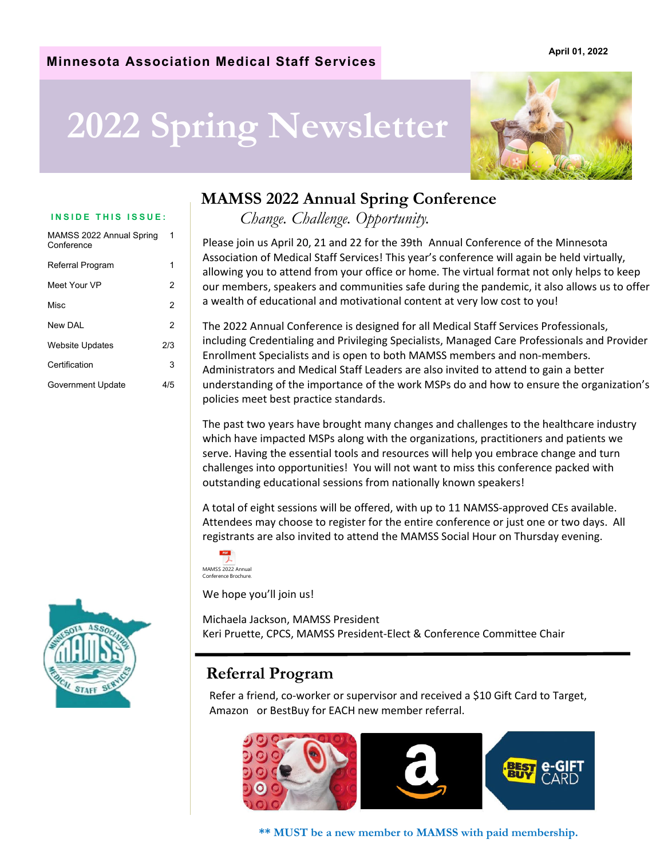### **Minnesota Association Medical Staff Services**

# **2022 Spring Newsletter**



| MAMSS 2022 Annual Spring<br>Conference | 1   |  |
|----------------------------------------|-----|--|
| Referral Program                       | 1   |  |
| Meet Your VP                           | 2   |  |
| Misc                                   | 2   |  |
| New DAL                                | 2   |  |
| Website Updates                        | 2/3 |  |
| Certification                          | 3   |  |
| Government Update                      | 4/5 |  |
|                                        |     |  |



### **MAMSS 2022 Annual Spring Conference**

**INSIDE THIS ISSUE:** *Change. Challenge. Opportunity.* 

Please join us April 20, 21 and 22 for the 39th Annual Conference of the Minnesota Association of Medical Staff Services! This year's conference will again be held virtually, allowing you to attend from your office or home. The virtual format not only helps to keep our members, speakers and communities safe during the pandemic, it also allows us to offer a wealth of educational and motivational content at very low cost to you!

The 2022 Annual Conference is designed for all Medical Staff Services Professionals, including Credentialing and Privileging Specialists, Managed Care Professionals and Provider Enrollment Specialists and is open to both MAMSS members and non‐members. Administrators and Medical Staff Leaders are also invited to attend to gain a better understanding of the importance of the work MSPs do and how to ensure the organization's policies meet best practice standards.

The past two years have brought many changes and challenges to the healthcare industry which have impacted MSPs along with the organizations, practitioners and patients we serve. Having the essential tools and resources will help you embrace change and turn challenges into opportunities! You will not want to miss this conference packed with outstanding educational sessions from nationally known speakers!

A total of eight sessions will be offered, with up to 11 NAMSS‐approved CEs available. Attendees may choose to register for the entire conference or just one or two days. All registrants are also invited to attend the MAMSS Social Hour on Thursday evening.



We hope you'll join us!

Michaela Jackson, MAMSS President Keri Pruette, CPCS, MAMSS President‐Elect & Conference Committee Chair

### **Referral Program**

Refer a friend, co-worker or supervisor and received a \$10 Gift Card to Target, Amazon or BestBuy for EACH new member referral.



**\*\* MUST be a new member to MAMSS with paid membership.** 

#### **April 01, 2022**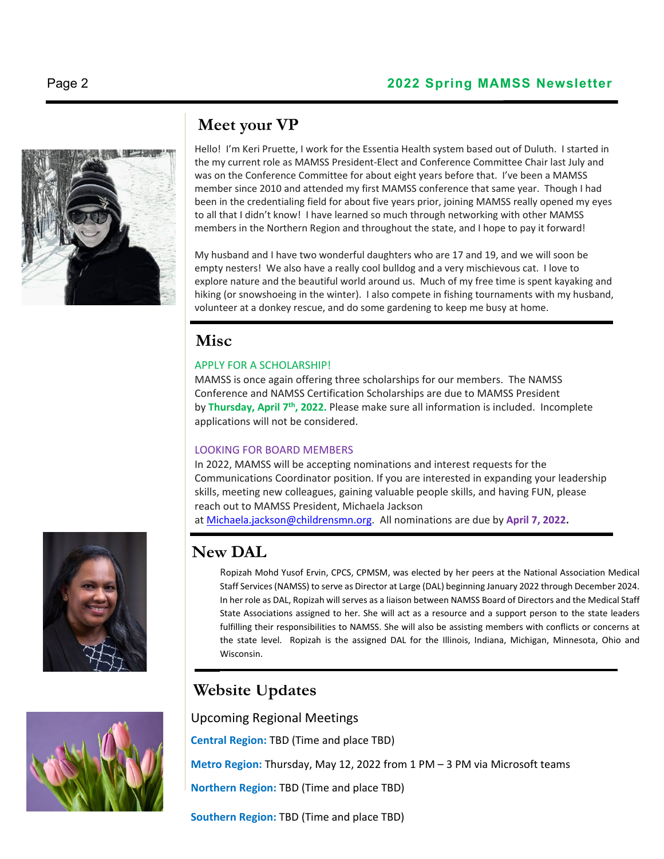

### **Meet your VP**

Hello! I'm Keri Pruette, I work for the Essentia Health system based out of Duluth. I started in the my current role as MAMSS President‐Elect and Conference Committee Chair last July and was on the Conference Committee for about eight years before that. I've been a MAMSS member since 2010 and attended my first MAMSS conference that same year. Though I had been in the credentialing field for about five years prior, joining MAMSS really opened my eyes to all that I didn't know! I have learned so much through networking with other MAMSS members in the Northern Region and throughout the state, and I hope to pay it forward!

My husband and I have two wonderful daughters who are 17 and 19, and we will soon be empty nesters! We also have a really cool bulldog and a very mischievous cat. I love to explore nature and the beautiful world around us. Much of my free time is spent kayaking and hiking (or snowshoeing in the winter). I also compete in fishing tournaments with my husband, volunteer at a donkey rescue, and do some gardening to keep me busy at home.

### **Misc**

### APPLY FOR A SCHOLARSHIP!

MAMSS is once again offering three scholarships for our members. The NAMSS Conference and NAMSS Certification Scholarships are due to MAMSS President by **Thursday, April 7th, 2022.** Please make sure all information is included. Incomplete applications will not be considered.

### LOOKING FOR BOARD MEMBERS

In 2022, MAMSS will be accepting nominations and interest requests for the Communications Coordinator position. If you are interested in expanding your leadership skills, meeting new colleagues, gaining valuable people skills, and having FUN, please reach out to MAMSS President, Michaela Jackson at Michaela.jackson@childrensmn.org. All nominations are due by **April 7, 2022.**

### **New DAL**

Ropizah Mohd Yusof Ervin, CPCS, CPMSM, was elected by her peers at the National Association Medical Staff Services(NAMSS) to serve as Director at Large (DAL) beginning January 2022 through December 2024. In her role as DAL, Ropizah will serves as a liaison between NAMSS Board of Directors and the Medical Staff State Associations assigned to her. She will act as a resource and a support person to the state leaders fulfilling their responsibilities to NAMSS. She will also be assisting members with conflicts or concerns at the state level. Ropizah is the assigned DAL for the Illinois, Indiana, Michigan, Minnesota, Ohio and Wisconsin.

### **Website Updates**

Upcoming Regional Meetings

**Central Region:** TBD (Time and place TBD)

**Metro Region:** Thursday, May 12, 2022 from 1 PM – 3 PM via Microsoft teams

**Northern Region:** TBD (Time and place TBD)

**Southern Region:** TBD (Time and place TBD)



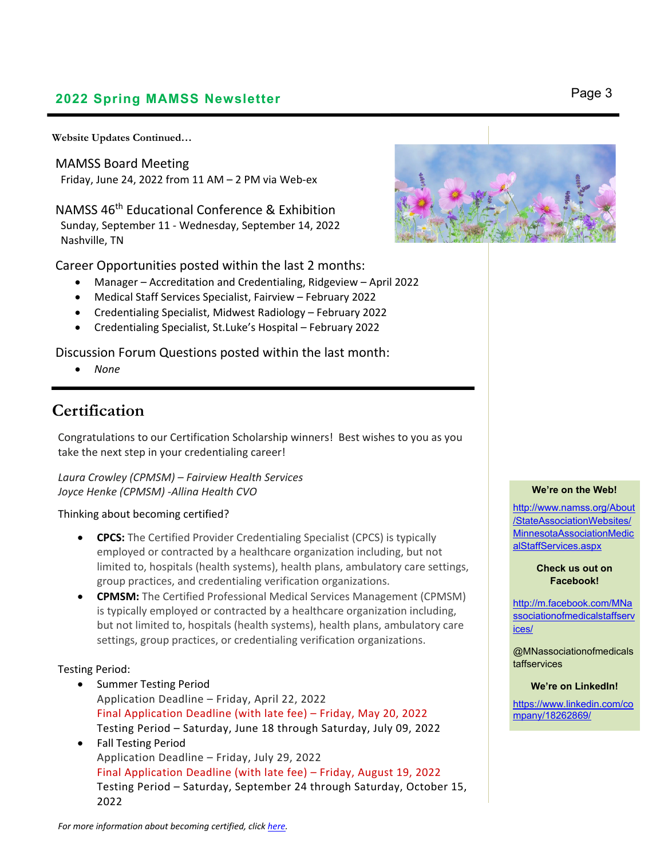### **2022 Spring MAMSS Newsletter** Page 3

**Website Updates Continued…** 

MAMSS Board Meeting Friday, June 24, 2022 from  $11$  AM  $-$  2 PM via Web-ex

NAMSS 46th Educational Conference & Exhibition Sunday, September 11 ‐ Wednesday, September 14, 2022 Nashville, TN

Career Opportunities posted within the last 2 months:

- Manager Accreditation and Credentialing, Ridgeview April 2022
- Medical Staff Services Specialist, Fairview February 2022
- Credentialing Specialist, Midwest Radiology February 2022
- Credentialing Specialist, St.Luke's Hospital February 2022

Discussion Forum Questions posted within the last month:

*None*

### **Certification**

Congratulations to our Certification Scholarship winners! Best wishes to you as you take the next step in your credentialing career!

*Laura Crowley (CPMSM) – Fairview Health Services Joyce Henke (CPMSM) ‐Allina Health CVO*

#### Thinking about becoming certified?

- **CPCS:** The Certified Provider Credentialing Specialist (CPCS) is typically employed or contracted by a healthcare organization including, but not limited to, hospitals (health systems), health plans, ambulatory care settings, group practices, and credentialing verification organizations.
- **CPMSM:** The Certified Professional Medical Services Management (CPMSM) is typically employed or contracted by a healthcare organization including, but not limited to, hospitals (health systems), health plans, ambulatory care settings, group practices, or credentialing verification organizations.

#### Testing Period:

- Summer Testing Period Application Deadline – Friday, April 22, 2022 Final Application Deadline (with late fee) – Friday, May 20, 2022 Testing Period – Saturday, June 18 through Saturday, July 09, 2022
- Fall Testing Period Application Deadline – Friday, July 29, 2022 Final Application Deadline (with late fee) – Friday, August 19, 2022 Testing Period – Saturday, September 24 through Saturday, October 15, 2022





#### **We're on the Web!**

http://www.namss.org/About /StateAssociationWebsites/ MinnesotaAssociationMedic alStaffServices.aspx

> **Check us out on Facebook!**

http://m.facebook.com/MNa ssociationofmedicalstaffserv ices/

@MNassociationofmedicals taffservices

#### **We're on LinkedIn!**

https://www.linkedin.com/co mpany/18262869/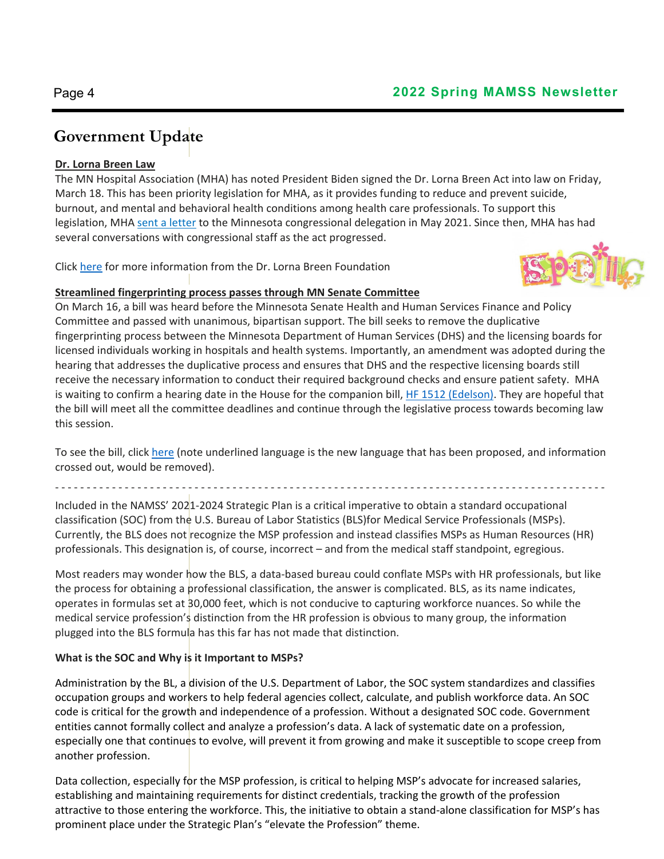## **Government Update**

### **Dr. Lorna Breen Law**

The MN Hospital Association (MHA) has noted President Biden signed the Dr. Lorna Breen Act into law on Friday, March 18. This has been priority legislation for MHA, as it provides funding to reduce and prevent suicide, burnout, and mental and behavioral health conditions among health care professionals. To support this legislation, MHA sent a letter to the Minnesota congressional delegation in May 2021. Since then, MHA has had several conversations with congressional staff as the act progressed.

Click here for more information from the Dr. Lorna Breen Foundation



### **Streamlined fingerprinting process passes through MN Senate Committee**

On March 16, a bill was heard before the Minnesota Senate Health and Human Services Finance and Policy Committee and passed with unanimous, bipartisan support. The bill seeks to remove the duplicative fingerprinting process between the Minnesota Department of Human Services (DHS) and the licensing boards for licensed individuals working in hospitals and health systems. Importantly, an amendment was adopted during the hearing that addresses the duplicative process and ensures that DHS and the respective licensing boards still receive the necessary information to conduct their required background checks and ensure patient safety. MHA is waiting to confirm a hearing date in the House for the companion bill, HF 1512 (Edelson). They are hopeful that the bill will meet all the committee deadlines and continue through the legislative process towards becoming law this session.

To see the bill, click here (note underlined language is the new language that has been proposed, and information crossed out, would be removed).

‐ ‐ ‐ ‐ ‐ ‐ ‐ ‐ ‐ ‐ ‐ ‐ ‐ ‐ ‐ ‐ ‐ ‐ ‐ ‐ ‐ ‐ ‐ ‐ ‐ ‐ ‐ ‐ ‐ ‐ ‐ ‐ ‐ ‐ ‐ ‐ ‐ ‐ ‐ ‐ ‐ ‐ ‐ ‐ ‐ ‐ ‐ ‐ ‐ ‐ ‐ ‐ ‐ ‐ ‐ ‐ ‐ ‐ ‐ ‐ ‐ ‐ ‐ ‐ ‐ ‐ ‐ ‐ ‐ ‐ ‐ ‐ ‐ ‐ ‐ ‐ ‐ ‐ ‐ ‐ ‐ ‐ ‐ ‐ ‐ ‐ ‐

Included in the NAMSS' 2021‐2024 Strategic Plan is a critical imperative to obtain a standard occupational classification (SOC) from the U.S. Bureau of Labor Statistics (BLS)for Medical Service Professionals (MSPs). Currently, the BLS does not recognize the MSP profession and instead classifies MSPs as Human Resources (HR) professionals. This designation is, of course, incorrect – and from the medical staff standpoint, egregious.

Most readers may wonder how the BLS, a data‐based bureau could conflate MSPs with HR professionals, but like the process for obtaining a professional classification, the answer is complicated. BLS, as its name indicates, operates in formulas set at 30,000 feet, which is not conducive to capturing workforce nuances. So while the medical service profession's distinction from the HR profession is obvious to many group, the information plugged into the BLS formula has this far has not made that distinction.

### **What is the SOC and Why is it Important to MSPs?**

Administration by the BL, a division of the U.S. Department of Labor, the SOC system standardizes and classifies occupation groups and workers to help federal agencies collect, calculate, and publish workforce data. An SOC code is critical for the growth and independence of a profession. Without a designated SOC code. Government entities cannot formally collect and analyze a profession's data. A lack of systematic date on a profession, especially one that continues to evolve, will prevent it from growing and make it susceptible to scope creep from another profession.

Data collection, especially for the MSP profession, is critical to helping MSP's advocate for increased salaries, establishing and maintaining requirements for distinct credentials, tracking the growth of the profession attractive to those entering the workforce. This, the initiative to obtain a stand-alone classification for MSP's has prominent place under the Strategic Plan's "elevate the Profession" theme.